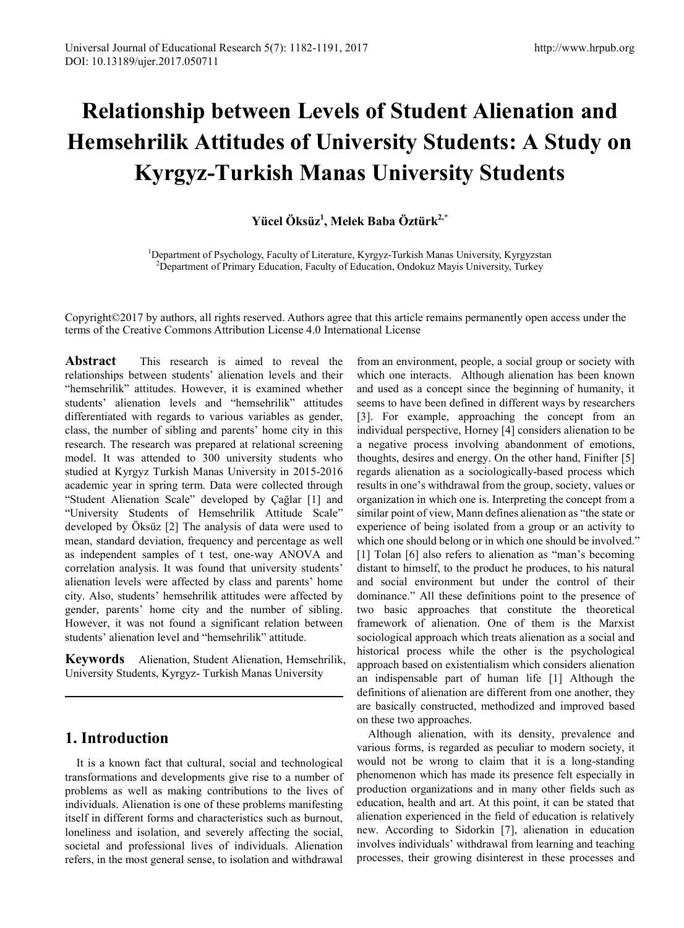# **Relationship between Levels of Student Alienation and Hemsehrilik Attitudes of University Students: A Study on Kyrgyz-Turkish Manas University Students**

# **Yücel Öksüz1 , Melek Baba Öztürk2,\***

<sup>1</sup>Department of Psychology, Faculty of Literature, Kyrgyz-Turkish Manas University, Kyrgyzstan<br><sup>2</sup>Department of Primary Education, Faculty of Education, Ondokuz Mayis University, Turkey  $^{2}$ Department of Primary Education, Faculty of Education, Ondokuz Mayis University, Turkey

Copyright©2017 by authors, all rights reserved. Authors agree that this article remains permanently open access under the terms of the Creative Commons Attribution License 4.0 International License

**Abstract** This research is aimed to reveal the relationships between students' alienation levels and their "hemsehrilik" attitudes. However, it is examined whether students' alienation levels and "hemsehrilik" attitudes differentiated with regards to various variables as gender, class, the number of sibling and parents' home city in this research. The research was prepared at relational screening model. It was attended to 300 university students who studied at Kyrgyz Turkish Manas University in 2015-2016 academic year in spring term. Data were collected through "Student Alienation Scale" developed by Çağlar [1] and "University Students of Hemsehrilik Attitude Scale" developed by Öksüz [2] The analysis of data were used to mean, standard deviation, frequency and percentage as well as independent samples of t test, one-way ANOVA and correlation analysis. It was found that university students' alienation levels were affected by class and parents' home city. Also, students' hemsehrilik attitudes were affected by gender, parents' home city and the number of sibling. However, it was not found a significant relation between students' alienation level and "hemsehrilik" attitude.

**Keywords** Alienation, Student Alienation, Hemsehrilik, University Students, Kyrgyz- Turkish Manas University

# **1. Introduction**

It is a known fact that cultural, social and technological transformations and developments give rise to a number of problems as well as making contributions to the lives of individuals. Alienation is one of these problems manifesting itself in different forms and characteristics such as burnout, loneliness and isolation, and severely affecting the social, societal and professional lives of individuals. Alienation refers, in the most general sense, to isolation and withdrawal

from an environment, people, a social group or society with which one interacts. Although alienation has been known and used as a concept since the beginning of humanity, it seems to have been defined in different ways by researchers [3]. For example, approaching the concept from an individual perspective, Horney [4] considers alienation to be a negative process involving abandonment of emotions, thoughts, desires and energy. On the other hand, Finifter [5] regards alienation as a sociologically-based process which results in one's withdrawal from the group, society, values or organization in which one is. Interpreting the concept from a similar point of view, Mann defines alienation as "the state or experience of being isolated from a group or an activity to which one should belong or in which one should be involved." [1] Tolan [6] also refers to alienation as "man's becoming distant to himself, to the product he produces, to his natural and social environment but under the control of their dominance." All these definitions point to the presence of two basic approaches that constitute the theoretical framework of alienation. One of them is the Marxist sociological approach which treats alienation as a social and historical process while the other is the psychological approach based on existentialism which considers alienation an indispensable part of human life [1] Although the definitions of alienation are different from one another, they are basically constructed, methodized and improved based on these two approaches.

Although alienation, with its density, prevalence and various forms, is regarded as peculiar to modern society, it would not be wrong to claim that it is a long-standing phenomenon which has made its presence felt especially in production organizations and in many other fields such as education, health and art. At this point, it can be stated that alienation experienced in the field of education is relatively new. According to Sidorkin [7], alienation in education involves individuals' withdrawal from learning and teaching processes, their growing disinterest in these processes and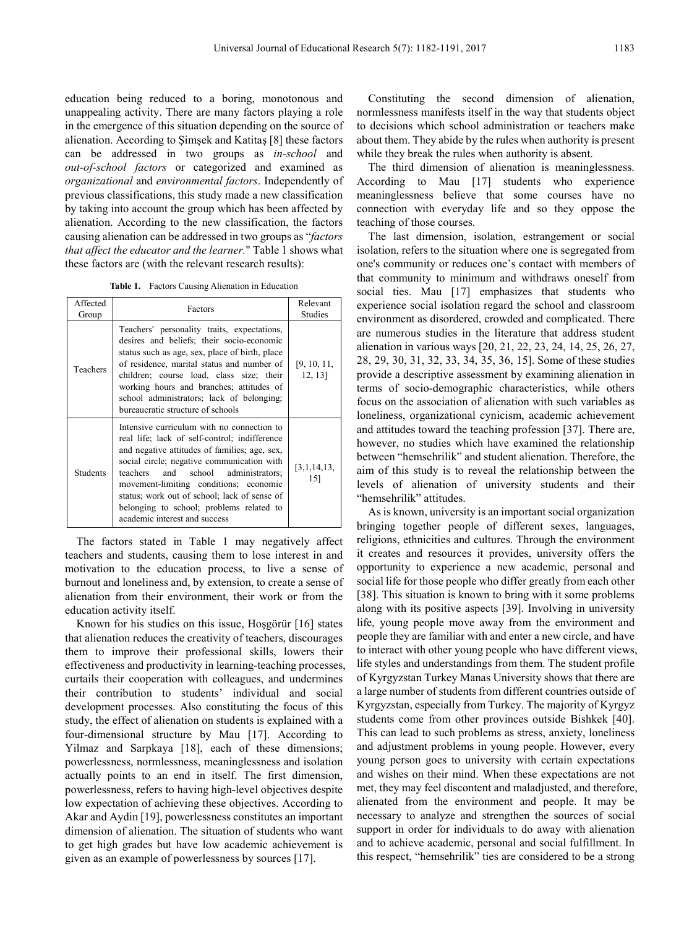education being reduced to a boring, monotonous and unappealing activity. There are many factors playing a role in the emergence of this situation depending on the source of alienation. According to Şimşek and Katitaş [8] these factors can be addressed in two groups as *in-school* and *out-of-school factors* or categorized and examined as *organizational* and *environmental factors*. Independently of previous classifications, this study made a new classification by taking into account the group which has been affected by alienation. According to the new classification, the factors causing alienation can be addressed in two groups as "*factors that affect the educator and the learner.*" Table 1 shows what these factors are (with the relevant research results):

**Table 1.** Factors Causing Alienation in Education

| Affected<br>Group | Factors                                                                                                                                                                                                                                                                                                                                                                                                     | Relevant<br><b>Studies</b> |
|-------------------|-------------------------------------------------------------------------------------------------------------------------------------------------------------------------------------------------------------------------------------------------------------------------------------------------------------------------------------------------------------------------------------------------------------|----------------------------|
| Teachers          | Teachers' personality traits, expectations,<br>desires and beliefs; their socio-economic<br>status such as age, sex, place of birth, place<br>of residence, marital status and number of<br>children; course load, class size; their<br>working hours and branches; attitudes of<br>school administrators; lack of belonging;<br>bureaucratic structure of schools                                          | [9, 10, 11,<br>12, 13]     |
| <b>Students</b>   | Intensive curriculum with no connection to<br>real life; lack of self-control; indifference<br>and negative attitudes of families; age, sex,<br>social circle; negative communication with<br>and school administrators;<br>teachers<br>movement-limiting conditions; economic<br>status; work out of school; lack of sense of<br>belonging to school; problems related to<br>academic interest and success | [3,1,14,13,<br>15]         |

The factors stated in Table 1 may negatively affect teachers and students, causing them to lose interest in and motivation to the education process, to live a sense of burnout and loneliness and, by extension, to create a sense of alienation from their environment, their work or from the education activity itself.

Known for his studies on this issue, Hoşgörür [16] states that alienation reduces the creativity of teachers, discourages them to improve their professional skills, lowers their effectiveness and productivity in learning-teaching processes, curtails their cooperation with colleagues, and undermines their contribution to students' individual and social development processes. Also constituting the focus of this study, the effect of alienation on students is explained with a four-dimensional structure by Mau [17]. According to Yilmaz and Sarpkaya [18], each of these dimensions; powerlessness, normlessness, meaninglessness and isolation actually points to an end in itself. The first dimension, powerlessness, refers to having high-level objectives despite low expectation of achieving these objectives. According to Akar and Aydin [19], powerlessness constitutes an important dimension of alienation. The situation of students who want to get high grades but have low academic achievement is given as an example of powerlessness by sources [17].

Constituting the second dimension of alienation, normlessness manifests itself in the way that students object to decisions which school administration or teachers make about them. They abide by the rules when authority is present while they break the rules when authority is absent.

The third dimension of alienation is meaninglessness. According to Mau [17] students who experience meaninglessness believe that some courses have no connection with everyday life and so they oppose the teaching of those courses.

The last dimension, isolation, estrangement or social isolation, refers to the situation where one is segregated from one's community or reduces one's contact with members of that community to minimum and withdraws oneself from social ties. Mau [17] emphasizes that students who experience social isolation regard the school and classroom environment as disordered, crowded and complicated. There are numerous studies in the literature that address student alienation in various ways [20, 21, 22, 23, 24, 14, 25, 26, 27, 28, 29, 30, 31, 32, 33, 34, 35, 36, 15]. Some of these studies provide a descriptive assessment by examining alienation in terms of socio-demographic characteristics, while others focus on the association of alienation with such variables as loneliness, organizational cynicism, academic achievement and attitudes toward the teaching profession [37]. There are, however, no studies which have examined the relationship between "hemsehrilik" and student alienation. Therefore, the aim of this study is to reveal the relationship between the levels of alienation of university students and their "hemsehrilik" attitudes.

As is known, university is an important social organization bringing together people of different sexes, languages, religions, ethnicities and cultures. Through the environment it creates and resources it provides, university offers the opportunity to experience a new academic, personal and social life for those people who differ greatly from each other [38]. This situation is known to bring with it some problems along with its positive aspects [39]. Involving in university life, young people move away from the environment and people they are familiar with and enter a new circle, and have to interact with other young people who have different views, life styles and understandings from them. The student profile of Kyrgyzstan Turkey Manas University shows that there are a large number of students from different countries outside of Kyrgyzstan, especially from Turkey. The majority of Kyrgyz students come from other provinces outside Bishkek [40]. This can lead to such problems as stress, anxiety, loneliness and adjustment problems in young people. However, every young person goes to university with certain expectations and wishes on their mind. When these expectations are not met, they may feel discontent and maladjusted, and therefore, alienated from the environment and people. It may be necessary to analyze and strengthen the sources of social support in order for individuals to do away with alienation and to achieve academic, personal and social fulfillment. In this respect, "hemsehrilik" ties are considered to be a strong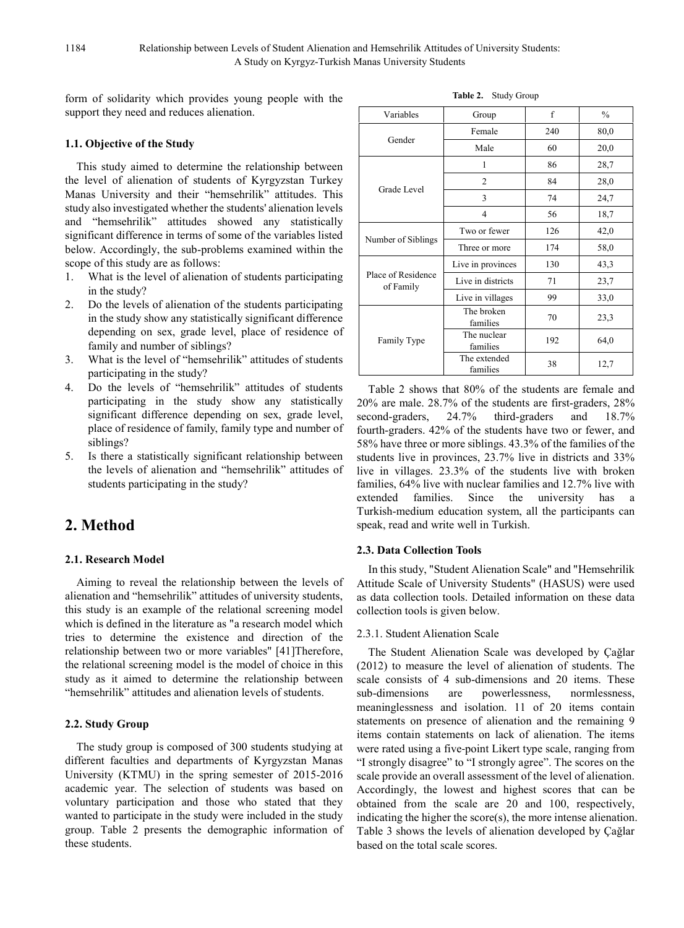form of solidarity which provides young people with the support they need and reduces alienation.

## **1.1. Objective of the Study**

This study aimed to determine the relationship between the level of alienation of students of Kyrgyzstan Turkey Manas University and their "hemsehrilik" attitudes. This study also investigated whether the students' alienation levels and "hemsehrilik" attitudes showed any statistically significant difference in terms of some of the variables listed below. Accordingly, the sub-problems examined within the scope of this study are as follows:<br>1. What is the level of alienation

- What is the level of alienation of students participating in the study?
- 2. Do the levels of alienation of the students participating in the study show any statistically significant difference depending on sex, grade level, place of residence of family and number of siblings?
- 3. What is the level of "hemsehrilik" attitudes of students participating in the study?
- 4. Do the levels of "hemsehrilik" attitudes of students participating in the study show any statistically significant difference depending on sex, grade level, place of residence of family, family type and number of siblings?
- 5. Is there a statistically significant relationship between the levels of alienation and "hemsehrilik" attitudes of students participating in the study?

# **2. Method**

# **2.1. Research Model**

Aiming to reveal the relationship between the levels of alienation and "hemsehrilik" attitudes of university students, this study is an example of the relational screening model which is defined in the literature as "a research model which tries to determine the existence and direction of the relationship between two or more variables" [41]Therefore, the relational screening model is the model of choice in this study as it aimed to determine the relationship between "hemsehrilik" attitudes and alienation levels of students.

# **2.2. Study Group**

The study group is composed of 300 students studying at different faculties and departments of Kyrgyzstan Manas University (KTMU) in the spring semester of 2015-2016 academic year. The selection of students was based on voluntary participation and those who stated that they wanted to participate in the study were included in the study group. Table 2 presents the demographic information of these students.

| Variables                       | Group                    | f   | $\frac{0}{0}$ |
|---------------------------------|--------------------------|-----|---------------|
|                                 | Female                   | 240 | 80,0          |
| Gender                          | Male                     | 60  | 20,0          |
|                                 | 1                        | 86  | 28,7          |
|                                 | 2                        | 84  | 28,0          |
| Grade Level                     | 3                        | 74  | 24,7          |
|                                 | 4                        | 56  | 18,7          |
|                                 | Two or fewer             | 126 | 42,0          |
| Number of Siblings              | Three or more            | 174 | 58,0          |
|                                 | Live in provinces        | 130 | 43,3          |
| Place of Residence<br>of Family | Live in districts        | 71  | 23,7          |
|                                 | Live in villages         | 99  | 33,0          |
|                                 | The broken<br>families   | 70  | 23,3          |
| Family Type                     | The nuclear<br>families  | 192 | 64,0          |
|                                 | The extended<br>families | 38  | 12,7          |

Table 2 shows that 80% of the students are female and 20% are male. 28.7% of the students are first-graders, 28% second-graders, 24.7% third-graders and 18.7% fourth-graders. 42% of the students have two or fewer, and 58% have three or more siblings. 43.3% of the families of the students live in provinces, 23.7% live in districts and 33% live in villages. 23.3% of the students live with broken families, 64% live with nuclear families and 12.7% live with extended families. Since the university has a Turkish-medium education system, all the participants can speak, read and write well in Turkish.

# **2.3. Data Collection Tools**

In this study, "Student Alienation Scale" and "Hemsehrilik Attitude Scale of University Students" (HASUS) were used as data collection tools. Detailed information on these data collection tools is given below.

# 2.3.1. Student Alienation Scale

The Student Alienation Scale was developed by Çağlar (2012) to measure the level of alienation of students. The scale consists of 4 sub-dimensions and 20 items. These sub-dimensions are powerlessness, normlessness, meaninglessness and isolation. 11 of 20 items contain statements on presence of alienation and the remaining 9 items contain statements on lack of alienation. The items were rated using a five-point Likert type scale, ranging from "I strongly disagree" to "I strongly agree". The scores on the scale provide an overall assessment of the level of alienation. Accordingly, the lowest and highest scores that can be obtained from the scale are 20 and 100, respectively, indicating the higher the score(s), the more intense alienation. Table 3 shows the levels of alienation developed by Çağlar based on the total scale scores.

**Table 2.** Study Group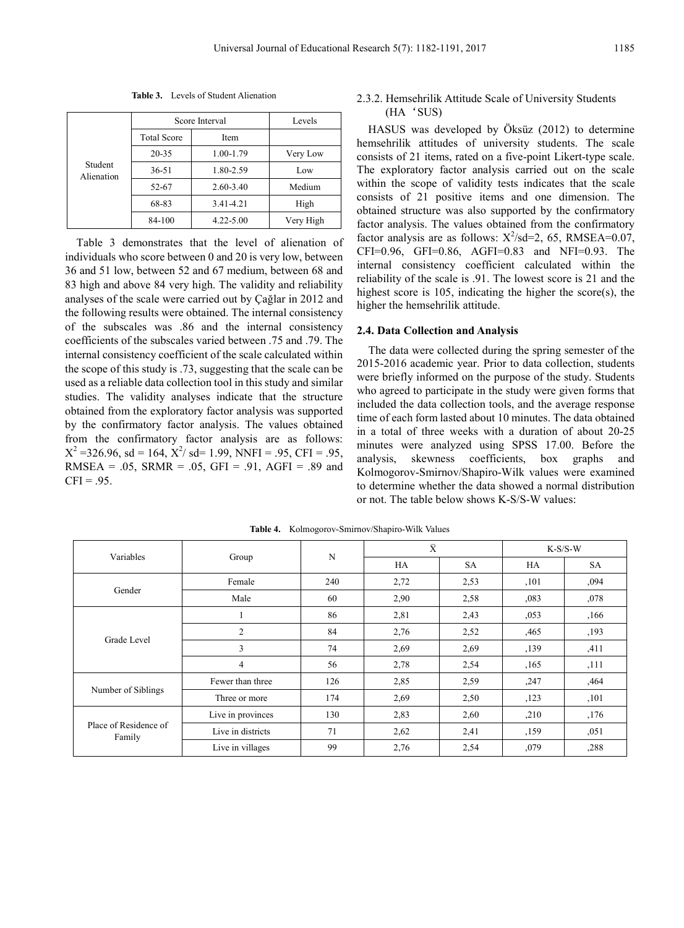|                       | Score Interval     | Levels        |           |
|-----------------------|--------------------|---------------|-----------|
|                       | <b>Total Score</b> | Item          |           |
|                       | 20-35              | 1.00-1.79     | Very Low  |
| Student<br>Alienation | 36-51              | 1.80-2.59     | Low       |
|                       | 52-67              | $2.60 - 3.40$ | Medium    |
|                       | 68-83              | 3.41-4.21     | High      |
|                       | 84-100             | $4.22 - 5.00$ | Very High |

**Table 3.** Levels of Student Alienation

Table 3 demonstrates that the level of alienation of individuals who score between 0 and 20 is very low, between 36 and 51 low, between 52 and 67 medium, between 68 and 83 high and above 84 very high. The validity and reliability analyses of the scale were carried out by Çağlar in 2012 and the following results were obtained. The internal consistency of the subscales was .86 and the internal consistency coefficients of the subscales varied between .75 and .79. The internal consistency coefficient of the scale calculated within the scope of this study is .73, suggesting that the scale can be used as a reliable data collection tool in this study and similar studies. The validity analyses indicate that the structure obtained from the exploratory factor analysis was supported by the confirmatory factor analysis. The values obtained from the confirmatory factor analysis are as follows:  $X^2 = 326.96$ , sd = 164,  $X^2$ / sd = 1.99, NNFI = .95, CFI = .95, RMSEA = .05, SRMR = .05, GFI = .91, AGFI = .89 and  $CFI = .95$ .

## 2.3.2. Hemsehrilik Attitude Scale of University Students (HA'SUS)

HASUS was developed by Öksüz (2012) to determine hemsehrilik attitudes of university students. The scale consists of 21 items, rated on a five-point Likert-type scale. The exploratory factor analysis carried out on the scale within the scope of validity tests indicates that the scale consists of 21 positive items and one dimension. The obtained structure was also supported by the confirmatory factor analysis. The values obtained from the confirmatory factor analysis are as follows:  $X^2$ /sd=2, 65, RMSEA=0.07, CFI=0.96, GFI=0.86, AGFI=0.83 and NFI=0.93. The internal consistency coefficient calculated within the reliability of the scale is .91. The lowest score is 21 and the highest score is 105, indicating the higher the score(s), the higher the hemsehrilik attitude.

#### **2.4. Data Collection and Analysis**

The data were collected during the spring semester of the 2015-2016 academic year. Prior to data collection, students were briefly informed on the purpose of the study. Students who agreed to participate in the study were given forms that included the data collection tools, and the average response time of each form lasted about 10 minutes. The data obtained in a total of three weeks with a duration of about 20-25 minutes were analyzed using SPSS 17.00. Before the analysis, skewness coefficients, box graphs and Kolmogorov-Smirnov/Shapiro-Wilk values were examined to determine whether the data showed a normal distribution or not. The table below shows K-S/S-W values:

|                                 |                   |     | $\bar{X}$ |           |       | $K-S/S-W$ |  |
|---------------------------------|-------------------|-----|-----------|-----------|-------|-----------|--|
| Variables                       | Group             | N   | HA        | <b>SA</b> | HA    | <b>SA</b> |  |
|                                 | Female            | 240 | 2,72      | 2,53      | , 101 | ,094      |  |
| Gender                          | Male              | 60  | 2,90      | 2,58      | ,083  | ,078      |  |
|                                 |                   | 86  | 2,81      | 2,43      | ,053  | ,166      |  |
| Grade Level                     | $\overline{2}$    | 84  | 2,76      | 2,52      | ,465  | ,193      |  |
|                                 | 3                 | 74  | 2.69      | 2.69      | ,139  | ,411      |  |
|                                 | 4                 | 56  | 2,78      | 2,54      | ,165  | ,111      |  |
|                                 | Fewer than three  | 126 | 2,85      | 2,59      | ,247  | ,464      |  |
| Number of Siblings              | Three or more     | 174 | 2,69      | 2,50      | ,123  | ,101      |  |
| Place of Residence of<br>Family | Live in provinces | 130 | 2,83      | 2,60      | ,210  | ,176      |  |
|                                 | Live in districts | 71  | 2,62      | 2,41      | ,159  | ,051      |  |
|                                 | Live in villages  | 99  | 2,76      | 2,54      | ,079  | ,288      |  |

**Table 4.** Kolmogorov-Smirnov/Shapiro-Wilk Values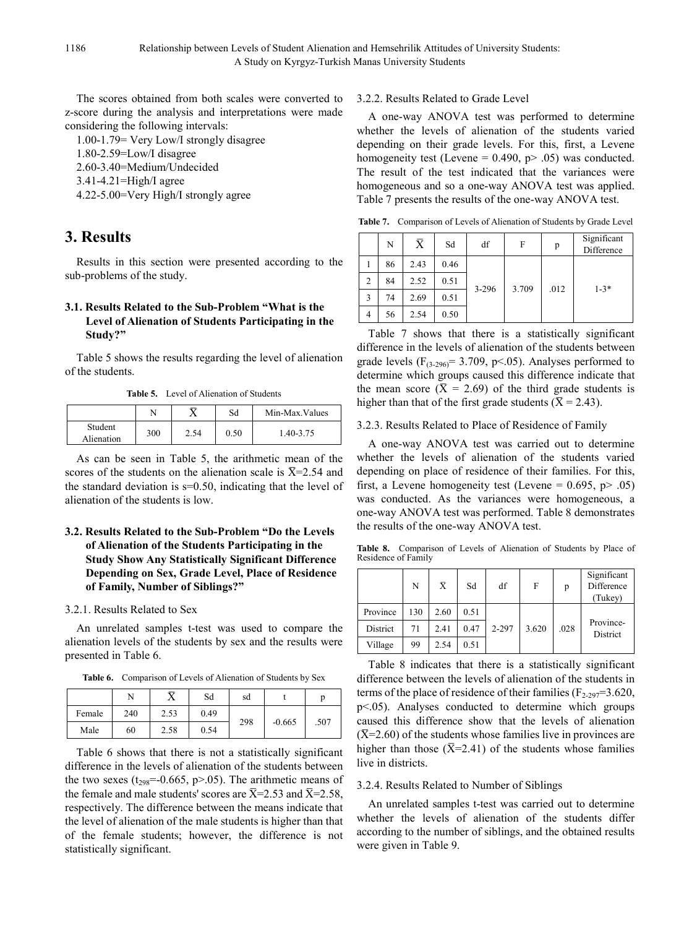The scores obtained from both scales were converted to z-score during the analysis and interpretations were made considering the following intervals:

- 1.00-1.79= Very Low/I strongly disagree
- 1.80-2.59=Low/I disagree
- 2.60-3.40=Medium/Undecided
- 3.41-4.21=High/I agree
- 4.22-5.00=Very High/I strongly agree

# **3. Results**

Results in this section were presented according to the sub-problems of the study.

# **3.1. Results Related to the Sub-Problem "What is the Level of Alienation of Students Participating in the Study?"**

Table 5 shows the results regarding the level of alienation of the students.

**Table 5.** Level of Alienation of Students

|                       |     |      | Sd   | Min-Max. Values |
|-----------------------|-----|------|------|-----------------|
| Student<br>Alienation | 300 | 2.54 | 0.50 | 1.40-3.75       |

As can be seen in Table 5, the arithmetic mean of the scores of the students on the alienation scale is  $\overline{X}$ =2.54 and the standard deviation is  $s=0.50$ , indicating that the level of alienation of the students is low.

# **3.2. Results Related to the Sub-Problem "Do the Levels of Alienation of the Students Participating in the Study Show Any Statistically Significant Difference Depending on Sex, Grade Level, Place of Residence of Family, Number of Siblings?"**

#### 3.2.1. Results Related to Sex

An unrelated samples t-test was used to compare the alienation levels of the students by sex and the results were presented in Table 6.

**Table 6.** Comparison of Levels of Alienation of Students by Sex

|        |     |      | Sd   | sd  |          |      |
|--------|-----|------|------|-----|----------|------|
| Female | 240 | 2.53 | 0.49 |     |          |      |
| Male   | 60  | 2.58 | 0.54 | 298 | $-0.665$ | .507 |

Table 6 shows that there is not a statistically significant difference in the levels of alienation of the students between the two sexes ( $t_{298}$ =-0.665, p>.05). The arithmetic means of the female and male students' scores are  $\bar{X}$ =2.53 and  $\bar{X}$ =2.58, respectively. The difference between the means indicate that the level of alienation of the male students is higher than that of the female students; however, the difference is not statistically significant.

#### 3.2.2. Results Related to Grade Level

A one-way ANOVA test was performed to determine whether the levels of alienation of the students varied depending on their grade levels. For this, first, a Levene homogeneity test (Levene =  $0.490$ , p $> 0.05$ ) was conducted. The result of the test indicated that the variances were homogeneous and so a one-way ANOVA test was applied. Table 7 presents the results of the one-way ANOVA test.

**Table 7.** Comparison of Levels of Alienation of Students by Grade Level

|   | N  | $\bar{\text{X}}$ | Sd   | df        | F | p                         | Significant<br>Difference |
|---|----|------------------|------|-----------|---|---------------------------|---------------------------|
|   | 86 | 2.43             | 0.46 |           |   |                           |                           |
| 2 | 84 | 2.52             | 0.51 | $3 - 296$ |   | $1 - 3*$<br>3.709<br>.012 |                           |
| 3 | 74 | 2.69             | 0.51 |           |   |                           |                           |
| 4 | 56 | 2.54             | 0.50 |           |   |                           |                           |

Table 7 shows that there is a statistically significant difference in the levels of alienation of the students between grade levels  $(F_{(3-296)}= 3.709, p<0.65)$ . Analyses performed to determine which groups caused this difference indicate that the mean score ( $\bar{X}$  = 2.69) of the third grade students is higher than that of the first grade students ( $\bar{X} = 2.43$ ).

#### 3.2.3. Results Related to Place of Residence of Family

A one-way ANOVA test was carried out to determine whether the levels of alienation of the students varied depending on place of residence of their families. For this, first, a Levene homogeneity test (Levene =  $0.695$ , p> .05) was conducted. As the variances were homogeneous, a one-way ANOVA test was performed. Table 8 demonstrates the results of the one-way ANOVA test.

**Table 8.** Comparison of Levels of Alienation of Students by Place of Residence of Family

|          | N   | $\bar{\mathrm{X}}$ | Sd   | df    | F     | p    | Significant<br>Difference<br>(Tukey) |
|----------|-----|--------------------|------|-------|-------|------|--------------------------------------|
| Province | 130 | 2.60               | 0.51 |       |       |      |                                      |
| District | 71  | 2.41               | 0.47 | 2-297 | 3.620 | .028 | Province-<br>District                |
| Village  | 99  | 2.54               | 0.51 |       |       |      |                                      |

Table 8 indicates that there is a statistically significant difference between the levels of alienation of the students in terms of the place of residence of their families ( $F_{2-297}=3.620$ , p<.05). Analyses conducted to determine which groups caused this difference show that the levels of alienation  $(\overline{X}$ =2.60) of the students whose families live in provinces are higher than those  $(\overline{X}=2.41)$  of the students whose families live in districts.

#### 3.2.4. Results Related to Number of Siblings

An unrelated samples t-test was carried out to determine whether the levels of alienation of the students differ according to the number of siblings, and the obtained results were given in Table 9.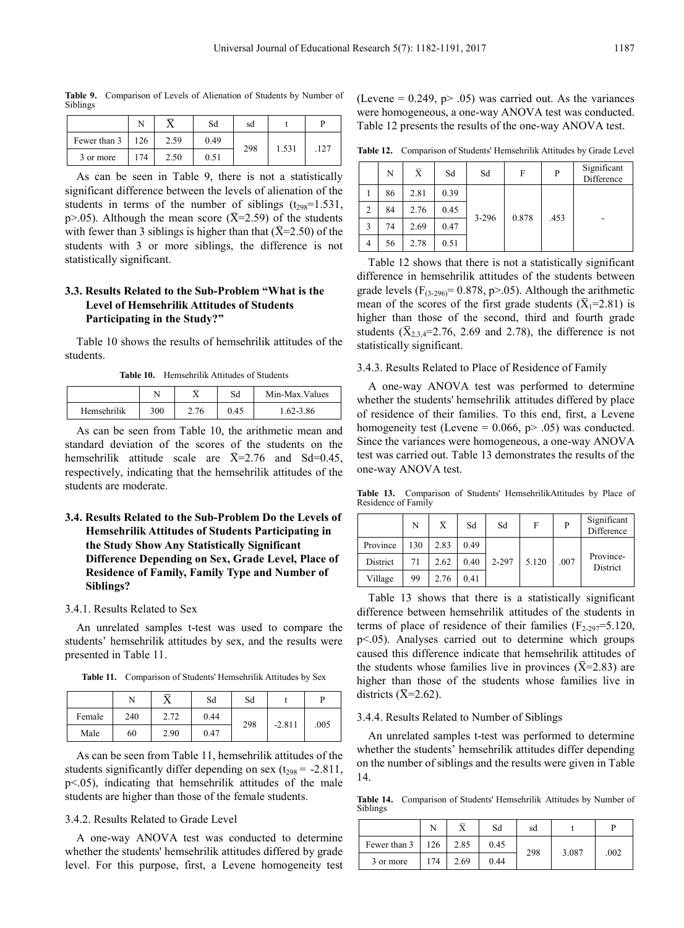**Table 9.** Comparison of Levels of Alienation of Students by Number of Siblings

|              | ٦.۱ |      | Sd   | sd  |       |     |  |
|--------------|-----|------|------|-----|-------|-----|--|
| Fewer than 3 | 126 | 2.59 | 0.49 | 298 | 1.531 | 127 |  |
| 3 or more    | 174 | 2.50 | 0.51 |     |       |     |  |

As can be seen in Table 9, there is not a statistically significant difference between the levels of alienation of the students in terms of the number of siblings  $(t_{298}=1.531)$ , p>.05). Although the mean score ( $\overline{X}$ =2.59) of the students with fewer than 3 siblings is higher than that  $(X=2.50)$  of the students with 3 or more siblings, the difference is not statistically significant.

## **3.3. Results Related to the Sub-Problem "What is the Level of Hemsehrilik Attitudes of Students Participating in the Study?"**

Table 10 shows the results of hemsehrilik attitudes of the students.

**Table 10.** Hemsehrilik Attitudes of Students

|             |     |      | Sd   | Min-Max. Values |
|-------------|-----|------|------|-----------------|
| Hemsehrilik | 300 | 2.76 | 0.45 | $1.62 - 3.86$   |

As can be seen from Table 10, the arithmetic mean and standard deviation of the scores of the students on the hemsehrilik attitude scale are  $\overline{X}$ =2.76 and Sd=0.45, respectively, indicating that the hemsehrilik attitudes of the students are moderate.

# **3.4. Results Related to the Sub-Problem Do the Levels of Hemsehrilik Attitudes of Students Participating in the Study Show Any Statistically Significant Difference Depending on Sex, Grade Level, Place of Residence of Family, Family Type and Number of Siblings?**

#### 3.4.1. Results Related to Sex

An unrelated samples t-test was used to compare the students' hemsehrilik attitudes by sex, and the results were presented in Table 11.

**Table 11.** Comparison of Students' Hemsehrilik Attitudes by Sex

|        | N   |      | Sd   | Sd  |          |      |
|--------|-----|------|------|-----|----------|------|
| Female | 240 | 2.72 | 0.44 | 298 |          |      |
| Male   | 60  | 2.90 | 0.47 |     | $-2.811$ | .005 |

As can be seen from Table 11, hemsehrilik attitudes of the students significantly differ depending on sex  $(t_{298} = -2.811,$ p<.05), indicating that hemsehrilik attitudes of the male students are higher than those of the female students.

#### 3.4.2. Results Related to Grade Level

A one-way ANOVA test was conducted to determine whether the students' hemsehrilik attitudes differed by grade level. For this purpose, first, a Levene homogeneity test

(Levene =  $0.249$ , p>  $.05$ ) was carried out. As the variances were homogeneous, a one-way ANOVA test was conducted. Table 12 presents the results of the one-way ANOVA test.

**Table 12.** Comparison of Students' Hemsehrilik Attitudes by Grade Level

|                | N  | $\bar{\text{X}}$ | Sd   | Sd        | F     | P    | Significant<br>Difference |
|----------------|----|------------------|------|-----------|-------|------|---------------------------|
|                | 86 | 2.81             | 0.39 |           |       |      |                           |
| 2              | 84 | 2.76             | 0.45 | $3 - 296$ | 0.878 | .453 |                           |
| 3              | 74 | 2.69             | 0.47 |           |       |      | -                         |
| $\overline{4}$ | 56 | 2.78             | 0.51 |           |       |      |                           |

Table 12 shows that there is not a statistically significant difference in hemsehrilik attitudes of the students between grade levels ( $F_{(3-296)} = 0.878$ , p>.05). Although the arithmetic mean of the scores of the first grade students ( $\overline{X}_1$ =2.81) is higher than those of the second, third and fourth grade students  $(\overline{X}_{2,3,4}=2.76, 2.69, 2.78)$ , the difference is not statistically significant.

#### 3.4.3. Results Related to Place of Residence of Family

A one-way ANOVA test was performed to determine whether the students' hemsehrilik attitudes differed by place of residence of their families. To this end, first, a Levene homogeneity test (Levene =  $0.066$ , p $> .05$ ) was conducted. Since the variances were homogeneous, a one-way ANOVA test was carried out. Table 13 demonstrates the results of the one-way ANOVA test.

**Table 13.** Comparison of Students' HemsehrilikAttitudes by Place of Residence of Family

|          | N   | $\bar{\mathrm{x}}$ | Sd   | Sd    | F     | P    | Significant<br>Difference |
|----------|-----|--------------------|------|-------|-------|------|---------------------------|
| Province | 130 | 2.83               | 0.49 |       |       |      |                           |
| District | 71  | 2.62               | 0.40 | 2-297 | 5.120 | .007 | Province-<br>District     |
| Village  | 99  | 2.76               | 0.41 |       |       |      |                           |

Table 13 shows that there is a statistically significant difference between hemsehrilik attitudes of the students in terms of place of residence of their families  $(F_{2-297}=5.120,$ p<.05). Analyses carried out to determine which groups caused this difference indicate that hemsehrilik attitudes of the students whose families live in provinces ( $\overline{X}$ =2.83) are higher than those of the students whose families live in districts  $({\overline{X}}=2.62)$ .

#### 3.4.4. Results Related to Number of Siblings

An unrelated samples t-test was performed to determine whether the students' hemsehrilik attitudes differ depending on the number of siblings and the results were given in Table 14.

**Table 14.** Comparison of Students' Hemsehrilik Attitudes by Number of Siblings

|              |     |      | Sd   | sd  |       |      |
|--------------|-----|------|------|-----|-------|------|
| Fewer than 3 | 126 | 2.85 | 0.45 |     |       |      |
| 3 or more    | 174 | 2.69 | 0.44 | 298 | 3.087 | .002 |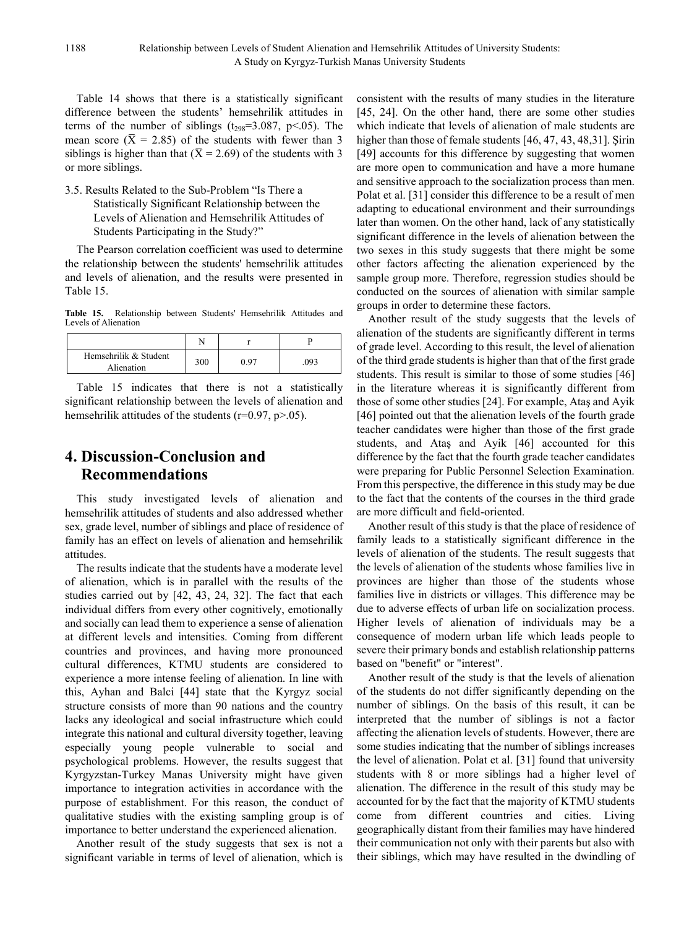Table 14 shows that there is a statistically significant difference between the students' hemsehrilik attitudes in terms of the number of siblings ( $t_{298}=3.087$ , p<.05). The mean score ( $\bar{X}$  = 2.85) of the students with fewer than 3 siblings is higher than that ( $\bar{X}$  = 2.69) of the students with 3 or more siblings.

3.5. Results Related to the Sub-Problem "Is There a Statistically Significant Relationship between the Levels of Alienation and Hemsehrilik Attitudes of Students Participating in the Study?"

The Pearson correlation coefficient was used to determine the relationship between the students' hemsehrilik attitudes and levels of alienation, and the results were presented in Table 15.

**Table 15.** Relationship between Students' Hemsehrilik Attitudes and Levels of Alienation

|                                     | N   |      |     |
|-------------------------------------|-----|------|-----|
| Hemsehrilik & Student<br>Alienation | 300 | 0.97 | 093 |

Table 15 indicates that there is not a statistically significant relationship between the levels of alienation and hemsehrilik attitudes of the students ( $r=0.97$ ,  $p>0.05$ ).

# **4. Discussion-Conclusion and Recommendations**

This study investigated levels of alienation and hemsehrilik attitudes of students and also addressed whether sex, grade level, number of siblings and place of residence of family has an effect on levels of alienation and hemsehrilik attitudes.

The results indicate that the students have a moderate level of alienation, which is in parallel with the results of the studies carried out by [42, 43, 24, 32]. The fact that each individual differs from every other cognitively, emotionally and socially can lead them to experience a sense of alienation at different levels and intensities. Coming from different countries and provinces, and having more pronounced cultural differences, KTMU students are considered to experience a more intense feeling of alienation. In line with this, Ayhan and Balci [44] state that the Kyrgyz social structure consists of more than 90 nations and the country lacks any ideological and social infrastructure which could integrate this national and cultural diversity together, leaving especially young people vulnerable to social and psychological problems. However, the results suggest that Kyrgyzstan-Turkey Manas University might have given importance to integration activities in accordance with the purpose of establishment. For this reason, the conduct of qualitative studies with the existing sampling group is of importance to better understand the experienced alienation.

Another result of the study suggests that sex is not a significant variable in terms of level of alienation, which is consistent with the results of many studies in the literature [45, 24]. On the other hand, there are some other studies which indicate that levels of alienation of male students are higher than those of female students [46, 47, 43, 48, 31]. Sirin [49] accounts for this difference by suggesting that women are more open to communication and have a more humane and sensitive approach to the socialization process than men. Polat et al. [31] consider this difference to be a result of men adapting to educational environment and their surroundings later than women. On the other hand, lack of any statistically significant difference in the levels of alienation between the two sexes in this study suggests that there might be some other factors affecting the alienation experienced by the sample group more. Therefore, regression studies should be conducted on the sources of alienation with similar sample groups in order to determine these factors.

Another result of the study suggests that the levels of alienation of the students are significantly different in terms of grade level. According to this result, the level of alienation of the third grade students is higher than that of the first grade students. This result is similar to those of some studies [46] in the literature whereas it is significantly different from those of some other studies [24]. For example, Ataş and Ayik [46] pointed out that the alienation levels of the fourth grade teacher candidates were higher than those of the first grade students, and Ataş and Ayik [46] accounted for this difference by the fact that the fourth grade teacher candidates were preparing for Public Personnel Selection Examination. From this perspective, the difference in this study may be due to the fact that the contents of the courses in the third grade are more difficult and field-oriented.

Another result of this study is that the place of residence of family leads to a statistically significant difference in the levels of alienation of the students. The result suggests that the levels of alienation of the students whose families live in provinces are higher than those of the students whose families live in districts or villages. This difference may be due to adverse effects of urban life on socialization process. Higher levels of alienation of individuals may be a consequence of modern urban life which leads people to severe their primary bonds and establish relationship patterns based on "benefit" or "interest".

Another result of the study is that the levels of alienation of the students do not differ significantly depending on the number of siblings. On the basis of this result, it can be interpreted that the number of siblings is not a factor affecting the alienation levels of students. However, there are some studies indicating that the number of siblings increases the level of alienation. Polat et al. [31] found that university students with 8 or more siblings had a higher level of alienation. The difference in the result of this study may be accounted for by the fact that the majority of KTMU students come from different countries and cities. Living geographically distant from their families may have hindered their communication not only with their parents but also with their siblings, which may have resulted in the dwindling of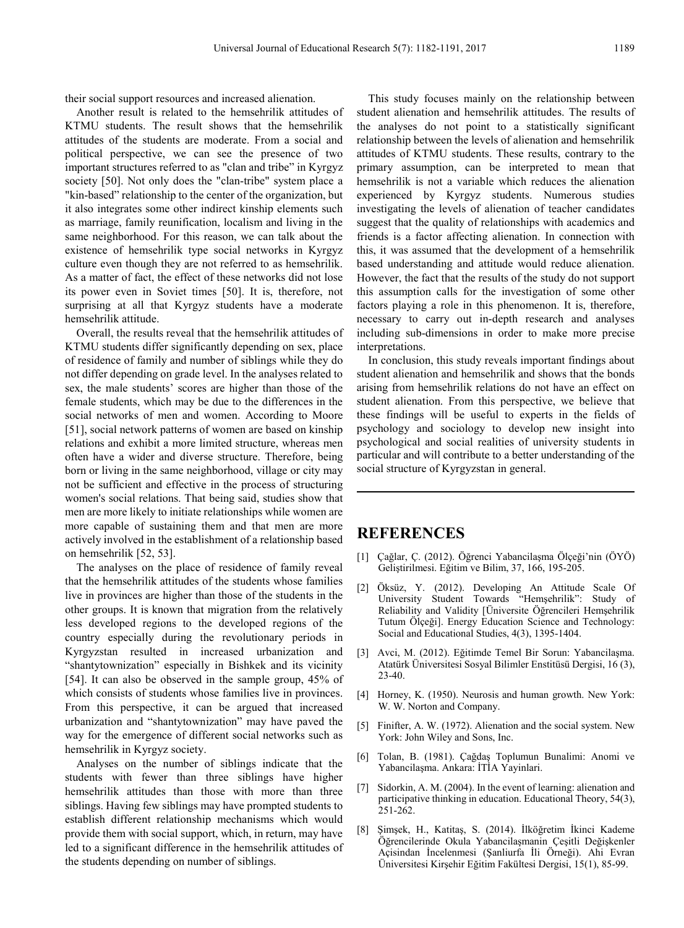their social support resources and increased alienation.

Another result is related to the hemsehrilik attitudes of KTMU students. The result shows that the hemsehrilik attitudes of the students are moderate. From a social and political perspective, we can see the presence of two important structures referred to as "clan and tribe" in Kyrgyz society [50]. Not only does the "clan-tribe" system place a "kin-based" relationship to the center of the organization, but it also integrates some other indirect kinship elements such as marriage, family reunification, localism and living in the same neighborhood. For this reason, we can talk about the existence of hemsehrilik type social networks in Kyrgyz culture even though they are not referred to as hemsehrilik. As a matter of fact, the effect of these networks did not lose its power even in Soviet times [50]. It is, therefore, not surprising at all that Kyrgyz students have a moderate hemsehrilik attitude.

Overall, the results reveal that the hemsehrilik attitudes of KTMU students differ significantly depending on sex, place of residence of family and number of siblings while they do not differ depending on grade level. In the analyses related to sex, the male students' scores are higher than those of the female students, which may be due to the differences in the social networks of men and women. According to Moore [51], social network patterns of women are based on kinship relations and exhibit a more limited structure, whereas men often have a wider and diverse structure. Therefore, being born or living in the same neighborhood, village or city may not be sufficient and effective in the process of structuring women's social relations. That being said, studies show that men are more likely to initiate relationships while women are more capable of sustaining them and that men are more actively involved in the establishment of a relationship based on hemsehrilik [52, 53].

The analyses on the place of residence of family reveal that the hemsehrilik attitudes of the students whose families live in provinces are higher than those of the students in the other groups. It is known that migration from the relatively less developed regions to the developed regions of the country especially during the revolutionary periods in Kyrgyzstan resulted in increased urbanization and "shantytownization" especially in Bishkek and its vicinity [54]. It can also be observed in the sample group, 45% of which consists of students whose families live in provinces. From this perspective, it can be argued that increased urbanization and "shantytownization" may have paved the way for the emergence of different social networks such as hemsehrilik in Kyrgyz society.

Analyses on the number of siblings indicate that the students with fewer than three siblings have higher hemsehrilik attitudes than those with more than three siblings. Having few siblings may have prompted students to establish different relationship mechanisms which would provide them with social support, which, in return, may have led to a significant difference in the hemsehrilik attitudes of the students depending on number of siblings.

This study focuses mainly on the relationship between student alienation and hemsehrilik attitudes. The results of the analyses do not point to a statistically significant relationship between the levels of alienation and hemsehrilik attitudes of KTMU students. These results, contrary to the primary assumption, can be interpreted to mean that hemsehrilik is not a variable which reduces the alienation experienced by Kyrgyz students. Numerous studies investigating the levels of alienation of teacher candidates suggest that the quality of relationships with academics and friends is a factor affecting alienation. In connection with this, it was assumed that the development of a hemsehrilik based understanding and attitude would reduce alienation. However, the fact that the results of the study do not support this assumption calls for the investigation of some other factors playing a role in this phenomenon. It is, therefore, necessary to carry out in-depth research and analyses including sub-dimensions in order to make more precise interpretations.

In conclusion, this study reveals important findings about student alienation and hemsehrilik and shows that the bonds arising from hemsehrilik relations do not have an effect on student alienation. From this perspective, we believe that these findings will be useful to experts in the fields of psychology and sociology to develop new insight into psychological and social realities of university students in particular and will contribute to a better understanding of the social structure of Kyrgyzstan in general.

# **REFERENCES**

- [1] Çağlar, Ç. (2012). Öğrenci Yabancilaşma Ölçeği'nin (ÖYÖ) Geliştirilmesi. Eğitim ve Bilim, 37, 166, 195-205.
- [2] Öksüz, Y. (2012). Developing An Attitude Scale Of University Student Towards "Hemşehrilik": Study of Reliability and Validity [Üniversite Öğrencileri Hemşehrilik Tutum Ölçeği]. Energy Education Science and Technology: Social and Educational Studies, 4(3), 1395-1404.
- [3] Avci, M. (2012). Eğitimde Temel Bir Sorun: Yabancilaşma. Atatürk Üniversitesi Sosyal Bilimler Enstitüsü Dergisi, 16 (3), 23-40.
- [4] Horney, K. (1950). Neurosis and human growth. New York: W. W. Norton and Company.
- [5] Finifter, A. W. (1972). Alienation and the social system. New York: John Wiley and Sons, Inc.
- [6] Tolan, B. (1981). Çağdaş Toplumun Bunalimi: Anomi ve Yabancilaşma. Ankara: İTİA Yayinlari.
- [7] Sidorkin, A. M. (2004). In the event of learning: alienation and participative thinking in education. Educational Theory, 54(3), 251-262.
- [8] Şimşek, H., Katitaş, S. (2014). İlköğretim İkinci Kademe Öğrencilerinde Okula Yabancilaşmanin Çeşitli Değişkenler Açisindan İncelenmesi (Şanliurfa İli Örneği). Ahi Evran Üniversitesi Kirşehir Eğitim Fakültesi Dergisi, 15(1), 85-99.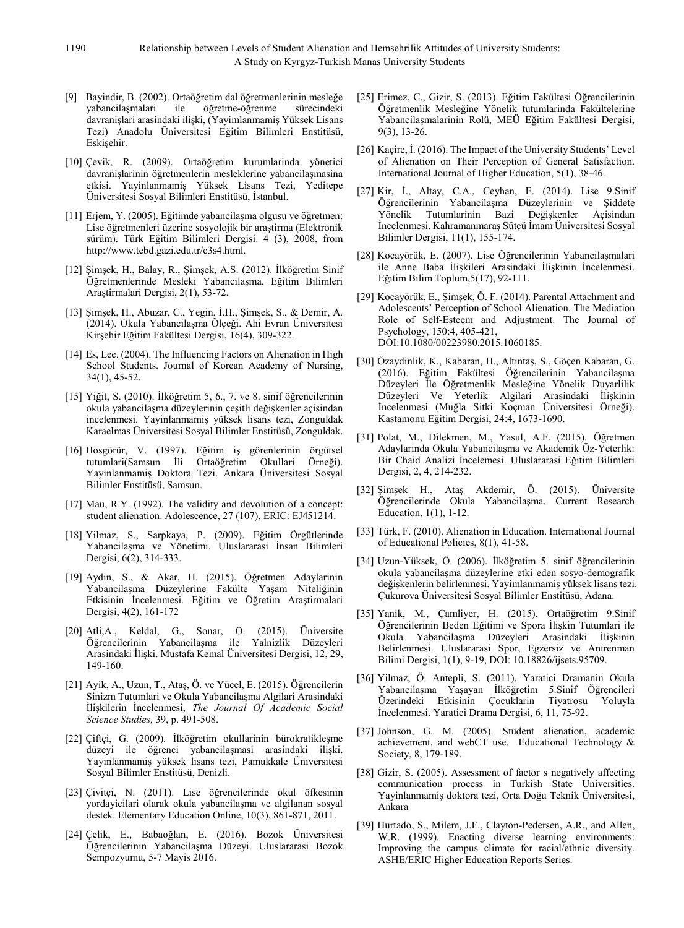- [9] Bayindir, B. (2002). Ortaöğretim dal öğretmenlerinin mesleğe ile öğretme-öğrenme sürecindeki davranişlari arasindaki ilişki, (Yayimlanmamiş Yüksek Lisans Tezi) Anadolu Üniversitesi Eğitim Bilimleri Enstitüsü, Eskişehir.
- [10] Çevik, R. (2009). Ortaöğretim kurumlarinda yönetici davranişlarinin öğretmenlerin mesleklerine yabancilaşmasina etkisi. Yayinlanmamiş Yüksek Lisans Tezi, Yeditepe Üniversitesi Sosyal Bilimleri Enstitüsü, İstanbul.
- [11] Erjem, Y. (2005). Eğitimde yabancilaşma olgusu ve öğretmen: Lise öğretmenleri üzerine sosyolojik bir araştirma (Elektronik sürüm). Türk Eğitim Bilimleri Dergisi. 4 (3), 2008, from http://www.tebd.gazi.edu.tr/c3s4.html.
- [12] Şimşek, H., Balay, R., Şimşek, A.S. (2012). İlköğretim Sinif Öğretmenlerinde Mesleki Yabancilaşma. Eğitim Bilimleri Araştirmalari Dergisi, 2(1), 53-72.
- [13] Şimşek, H., Abuzar, C., Yegin, İ.H., Şimşek, S., & Demir, A. (2014). Okula Yabancilaşma Ölçeği. Ahi Evran Üniversitesi Kirşehir Eğitim Fakültesi Dergisi, 16(4), 309-322.
- [14] Es, Lee. (2004). The Influencing Factors on Alienation in High School Students. Journal of Korean Academy of Nursing, 34(1), 45-52.
- [15] Yiğit, S. (2010). İlköğretim 5, 6., 7. ve 8. sinif öğrencilerinin okula yabancilaşma düzeylerinin çeşitli değişkenler açisindan incelenmesi. Yayinlanmamiş yüksek lisans tezi, Zonguldak Karaelmas Üniversitesi Sosyal Bilimler Enstitüsü, Zonguldak.
- [16] Hosgörür, V. (1997). Eğitim iş görenlerinin örgütsel tutumlari(Samsun İli Ortaöğretim Okullari Örneği). Yayinlanmamiş Doktora Tezi. Ankara Üniversitesi Sosyal Bilimler Enstitüsü, Samsun.
- [17] Mau, R.Y. (1992). The validity and devolution of a concept: student alienation. Adolescence, 27 (107), ERIC: EJ451214.
- [18] Yilmaz, S., Sarpkaya, P. (2009). Eğitim Örgütlerinde Yabancilaşma ve Yönetimi. Uluslararasi İnsan Bilimleri Dergisi, 6(2), 314-333.
- [19] Aydin, S., & Akar, H. (2015). Öğretmen Adaylarinin Yabancilaşma Düzeylerine Fakülte Yaşam Niteliğinin Etkisinin İncelenmesi. Eğitim ve Öğretim Araştirmalari Dergisi, 4(2), 161-172
- [20] Atli,A., Keldal, G., Sonar, O. (2015). Üniversite Öğrencilerinin Yabancilaşma ile Yalnizlik Düzeyleri Arasindaki İlişki. Mustafa Kemal Üniversitesi Dergisi, 12, 29, 149-160.
- [21] Ayik, A., Uzun, T., Ataş, Ö. ve Yücel, E. (2015). Öğrencilerin Sinizm Tutumlari ve Okula Yabancilaşma Algilari Arasindaki İlişkilerin İncelenmesi, *The Journal Of Academic Social Science Studies,* 39, p. 491-508.
- [22] Çiftçi, G. (2009). İlköğretim okullarinin bürokratikleşme düzeyi ile öğrenci yabancilaşmasi arasindaki ilişki. Yayinlanmamiş yüksek lisans tezi, Pamukkale Üniversitesi Sosyal Bilimler Enstitüsü, Denizli.
- [23] Çivitçi, N. (2011). Lise öğrencilerinde okul öfkesinin yordayicilari olarak okula yabancilaşma ve algilanan sosyal destek. Elementary Education Online, 10(3), 861-871, 2011.
- [24] Çelik, E., Babaoğlan, E. (2016). Bozok Üniversitesi Öğrencilerinin Yabancilaşma Düzeyi. Uluslararasi Bozok Sempozyumu, 5-7 Mayis 2016.
- [25] Erimez, C., Gizir, S. (2013). Eğitim Fakültesi Öğrencilerinin Öğretmenlik Mesleğine Yönelik tutumlarinda Fakültelerine Yabancilaşmalarinin Rolü, MEÜ Eğitim Fakültesi Dergisi, 9(3), 13-26.
- [26] Kaçire, İ. (2016). The Impact of the University Students' Level of Alienation on Their Perception of General Satisfaction. International Journal of Higher Education, 5(1), 38-46.
- [27] Kir, İ., Altay, C.A., Ceyhan, E. (2014). Lise 9.Sinif Öğrencilerinin Yabancilaşma Düzeylerinin ve Şiddete Yönelik Tutumlarinin Bazi Değişkenler Açisindan İncelenmesi. Kahramanmaraş Sütçü İmam Üniversitesi Sosyal Bilimler Dergisi, 11(1), 155-174.
- [28] Kocayörük, E. (2007). Lise Öğrencilerinin Yabancilaşmalari ile Anne Baba İlişkileri Arasindaki İlişkinin İncelenmesi. Eğitim Bilim Toplum,5(17), 92-111.
- [29] Kocayörük, E., Şimşek, Ö. F. (2014). Parental Attachment and Adolescents' Perception of School Alienation. The Mediation Role of Self-Esteem and Adjustment. The Journal of Psychology, 150:4, 405-421, DOI:10.1080/00223980.2015.1060185.
- [30] Özaydinlik, K., Kabaran, H., Altintaş, S., Göçen Kabaran, G. (2016). Eğitim Fakültesi Öğrencilerinin Yabancilaşma Düzeyleri İle Öğretmenlik Mesleğine Yönelik Duyarlilik Düzeyleri Ve Yeterlik Algilari Arasindaki İlişkinin İncelenmesi (Muğla Sitki Koçman Üniversitesi Örneği). Kastamonu Eğitim Dergisi, 24:4, 1673-1690.
- [31] Polat, M., Dilekmen, M., Yasul, A.F. (2015). Öğretmen Adaylarinda Okula Yabancilaşma ve Akademik Öz-Yeterlik: Bir Chaid Analizi İncelemesi. Uluslararasi Eğitim Bilimleri Dergisi, 2, 4, 214-232.
- [32] Şimşek H., Ataş Akdemir, Ö. (2015). Üniversite Öğrencilerinde Okula Yabancilaşma. Current Research Education, 1(1), 1-12.
- [33] Türk, F. (2010). Alienation in Education. International Journal of Educational Policies, 8(1), 41-58.
- [34] Uzun-Yüksek, Ö. (2006). İlköğretim 5. sinif öğrencilerinin okula yabancilaşma düzeylerine etki eden sosyo-demografik değişkenlerin belirlenmesi. Yayimlanmamiş yüksek lisans tezi. Çukurova Üniversitesi Sosyal Bilimler Enstitüsü, Adana.
- [35] Yanik, M., Çamliyer, H. (2015). Ortaöğretim 9.Sinif Öğrencilerinin Beden Eğitimi ve Spora İlişkin Tutumlari ile Okula Yabancilaşma Düzeyleri Arasindaki İlişkinin Belirlenmesi. Uluslararasi Spor, Egzersiz ve Antrenman Bilimi Dergisi, 1(1), 9-19, DOI: 10.18826/ijsets.95709.
- [36] Yilmaz, Ö. Antepli, S. (2011). Yaratici Dramanin Okula Yabancilaşma Yaşayan İlköğretim 5.Sinif Öğrencileri Üzerindeki Etkisinin Çocuklarin Tiyatrosu Yoluyla İncelenmesi. Yaratici Drama Dergisi, 6, 11, 75-92.
- [37] Johnson, G. M. (2005). Student alienation, academic achievement, and webCT use. Educational Technology & Society, 8, 179-189.
- [38] Gizir, S. (2005). Assessment of factor s negatively affecting communication process in Turkish State Universities. Yayinlanmamiş doktora tezi, Orta Doğu Teknik Üniversitesi, Ankara
- [39] Hurtado, S., Milem, J.F., Clayton-Pedersen, A.R., and Allen, W.R. (1999). Enacting diverse learning environments: Improving the campus climate for racial/ethnic diversity. ASHE/ERIC Higher Education Reports Series.